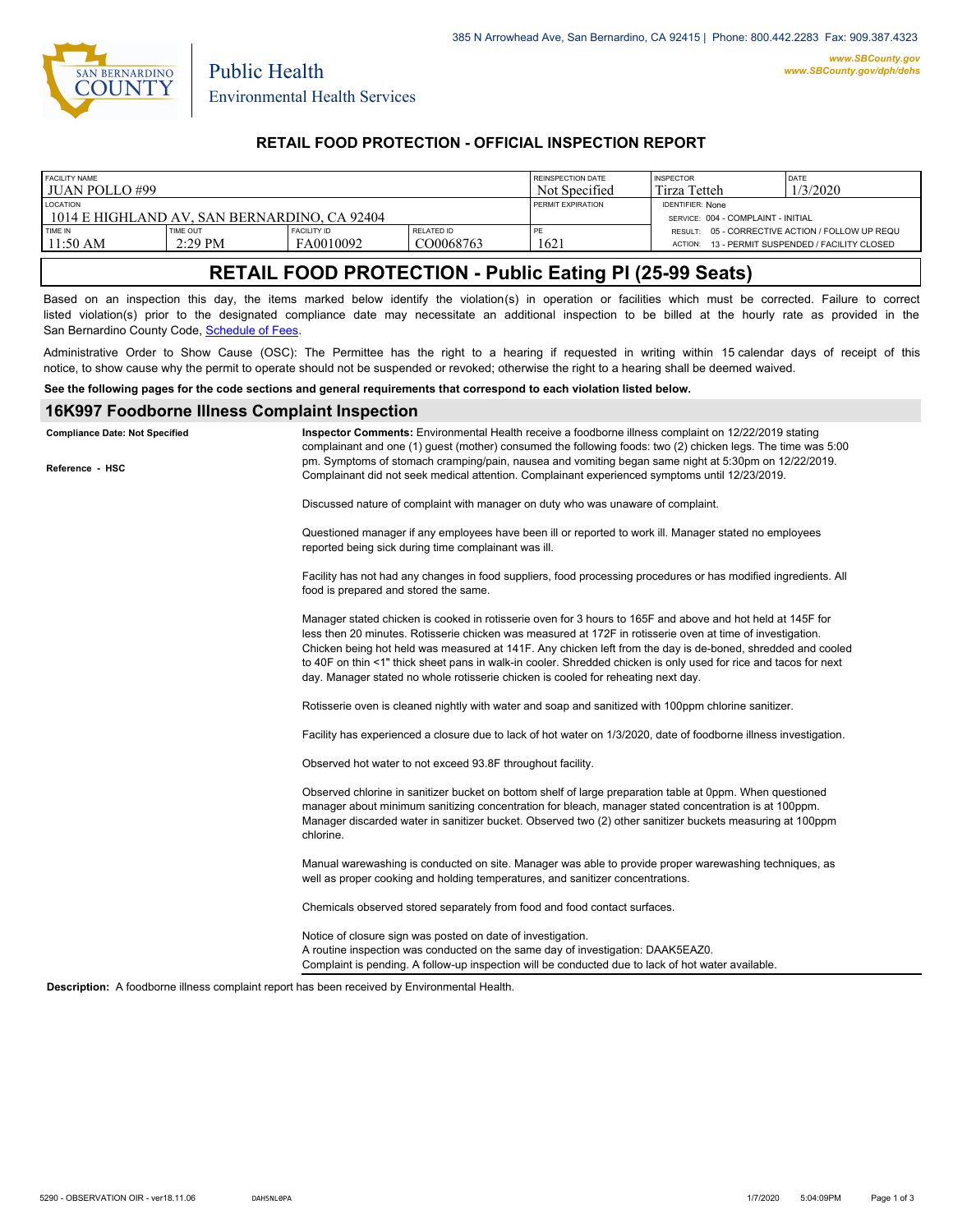

Public Health

#### **RETAIL FOOD PROTECTION - OFFICIAL INSPECTION REPORT**

| FACILITY NAME                                                   |           |             |            | <b>REINSPECTION DATE</b> | <b>INSPECTOR</b>                                              | DATE                                    |
|-----------------------------------------------------------------|-----------|-------------|------------|--------------------------|---------------------------------------------------------------|-----------------------------------------|
| l JUAN POLLO #99                                                |           |             |            | Not Specified            | Tirza Tetteh                                                  | 1/3/2020                                |
| <b>LOCATION</b><br>1014 E HIGHLAND AV. SAN BERNARDINO. CA 92404 |           |             |            | <b>PERMIT EXPIRATION</b> | <b>IDENTIFIER: None</b><br>SERVICE: 004 - COMPLAINT - INITIAL |                                         |
| <b>TIME IN</b>                                                  | TIME OUT  | FACILITY ID | RELATED ID | PE                       | RESULT: 05 - CORRECTIVE ACTION / FOLLOW UP REQU               | 13 - PERMIT SUSPENDED / FACILITY CLOSED |
| 11:50 AM                                                        | $2:29$ PM | FA0010092   | CO0068763  | 1621                     | ACTION:                                                       |                                         |

# **RETAIL FOOD PROTECTION - Public Eating Pl (25-99 Seats)**

Based on an inspection this day, the items marked below identify the violation(s) in operation or facilities which must be corrected. Failure to correct listed violation(s) prior to the designated compliance date may necessitate an additional inspection to be billed at the hourly rate as provided in the San Bernardino County Code, Sc[hedule of Fees.](http://www.amlegal.com/nxt/gateway.dll/California/sanbernardinocounty_ca/title1governmentandadministration/division6countyfees/chapter2scheduleoffees?f=templates$fn=default.htm$3.0$vid=amlegal:sanbernardinocounty_ca$anc=JD_16.0213B)

Administrative Order to Show Cause (OSC): The Permittee has the right to a hearing if requested in writing within 15 calendar days of receipt of this notice, to show cause why the permit to operate should not be suspended or revoked; otherwise the right to a hearing shall be deemed waived.

**See the following pages for the code sections and general requirements that correspond to each violation listed below.**

#### **16K997 Foodborne Illness Complaint Inspection**

| Reference - HSC | complainant and one (1) quest (mother) consumed the following foods: two (2) chicken legs. The time was 5:00<br>pm. Symptoms of stomach cramping/pain, nausea and vomiting began same night at 5:30pm on 12/22/2019.<br>Complainant did not seek medical attention. Complainant experienced symptoms until 12/23/2019.                                                                                                                                                                                                                           |
|-----------------|--------------------------------------------------------------------------------------------------------------------------------------------------------------------------------------------------------------------------------------------------------------------------------------------------------------------------------------------------------------------------------------------------------------------------------------------------------------------------------------------------------------------------------------------------|
|                 |                                                                                                                                                                                                                                                                                                                                                                                                                                                                                                                                                  |
|                 | Discussed nature of complaint with manager on duty who was unaware of complaint.                                                                                                                                                                                                                                                                                                                                                                                                                                                                 |
|                 | Questioned manager if any employees have been ill or reported to work ill. Manager stated no employees<br>reported being sick during time complainant was ill.                                                                                                                                                                                                                                                                                                                                                                                   |
|                 | Facility has not had any changes in food suppliers, food processing procedures or has modified ingredients. All<br>food is prepared and stored the same.                                                                                                                                                                                                                                                                                                                                                                                         |
|                 | Manager stated chicken is cooked in rotisserie oven for 3 hours to 165F and above and hot held at 145F for<br>less then 20 minutes. Rotisserie chicken was measured at 172F in rotisserie oven at time of investigation.<br>Chicken being hot held was measured at 141F. Any chicken left from the day is de-boned, shredded and cooled<br>to 40F on thin <1" thick sheet pans in walk-in cooler. Shredded chicken is only used for rice and tacos for next<br>day. Manager stated no whole rotisserie chicken is cooled for reheating next day. |
|                 | Rotisserie oven is cleaned nightly with water and soap and sanitized with 100ppm chlorine sanitizer.                                                                                                                                                                                                                                                                                                                                                                                                                                             |
|                 | Facility has experienced a closure due to lack of hot water on 1/3/2020, date of foodborne illness investigation.                                                                                                                                                                                                                                                                                                                                                                                                                                |
|                 | Observed hot water to not exceed 93.8F throughout facility.                                                                                                                                                                                                                                                                                                                                                                                                                                                                                      |
|                 | Observed chlorine in sanitizer bucket on bottom shelf of large preparation table at 0ppm. When questioned<br>manager about minimum sanitizing concentration for bleach, manager stated concentration is at 100ppm.<br>Manager discarded water in sanitizer bucket. Observed two (2) other sanitizer buckets measuring at 100ppm<br>chlorine.                                                                                                                                                                                                     |
|                 | Manual warewashing is conducted on site. Manager was able to provide proper warewashing techniques, as<br>well as proper cooking and holding temperatures, and sanitizer concentrations.                                                                                                                                                                                                                                                                                                                                                         |
|                 | Chemicals observed stored separately from food and food contact surfaces.                                                                                                                                                                                                                                                                                                                                                                                                                                                                        |
|                 | Notice of closure sign was posted on date of investigation.<br>A routine inspection was conducted on the same day of investigation: DAAK5EAZ0.<br>Complaint is pending. A follow-up inspection will be conducted due to lack of hot water available.                                                                                                                                                                                                                                                                                             |

**Description:** A foodborne illness complaint report has been received by Environmental Health.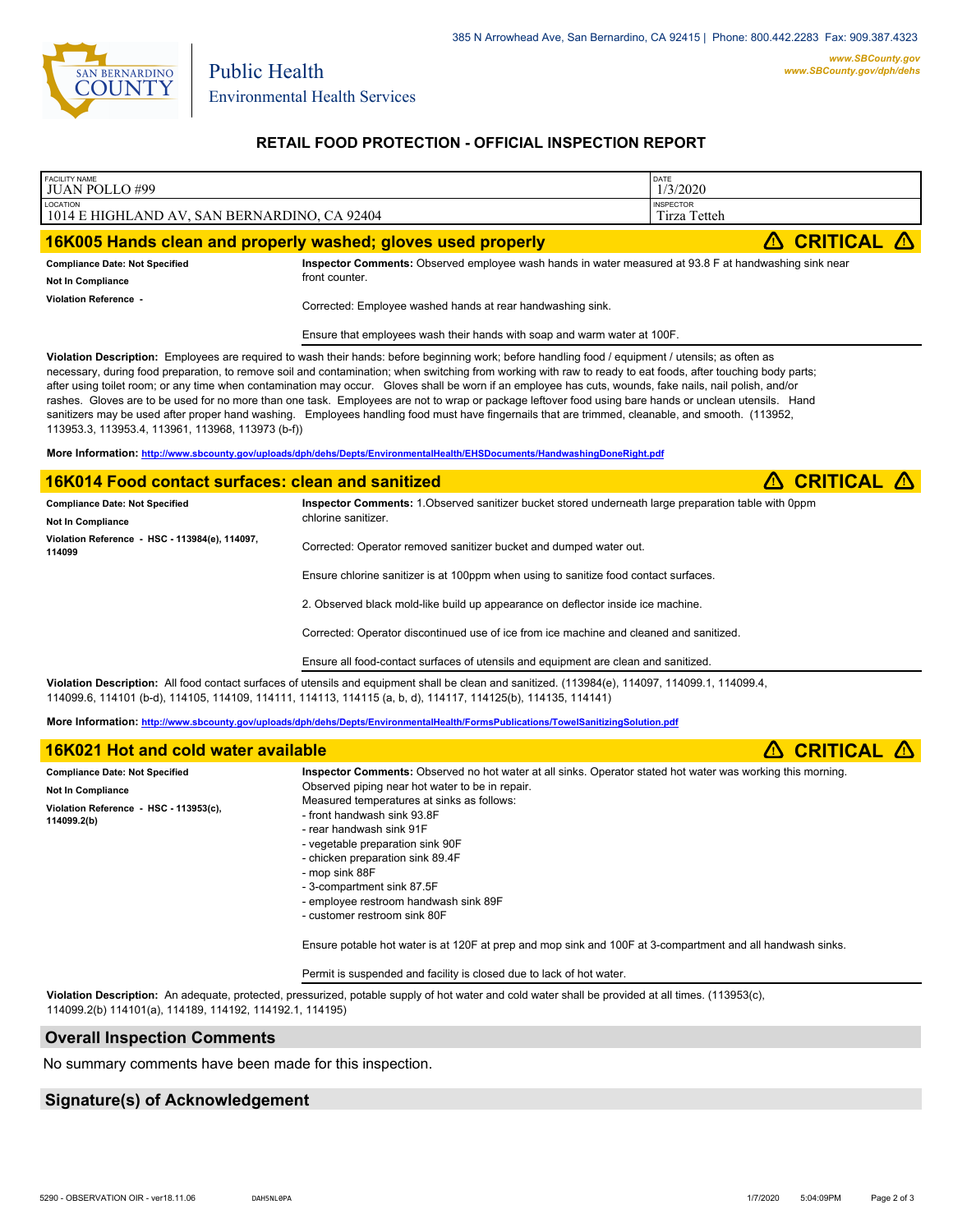

Environmental Health Services

Public Health

### **RETAIL FOOD PROTECTION - OFFICIAL INSPECTION REPORT**

| <b>FACILITY NAME</b><br><b>JUAN POLLO#99</b>                                                                                                                                                                                                                                                                                                                                                                                                                                                                                                                                                                                                                                                                                                                                                                                                       | DATE<br>1/3/2020                                                                                                                                                                                                                                                 |                 |                   |  |  |  |  |  |
|----------------------------------------------------------------------------------------------------------------------------------------------------------------------------------------------------------------------------------------------------------------------------------------------------------------------------------------------------------------------------------------------------------------------------------------------------------------------------------------------------------------------------------------------------------------------------------------------------------------------------------------------------------------------------------------------------------------------------------------------------------------------------------------------------------------------------------------------------|------------------------------------------------------------------------------------------------------------------------------------------------------------------------------------------------------------------------------------------------------------------|-----------------|-------------------|--|--|--|--|--|
| LOCATION<br>1014 E HIGHLAND AV, SAN BERNARDINO, CA 92404                                                                                                                                                                                                                                                                                                                                                                                                                                                                                                                                                                                                                                                                                                                                                                                           | <b>INSPECTOR</b><br>Tirza Tetteh                                                                                                                                                                                                                                 |                 |                   |  |  |  |  |  |
| 16K005 Hands clean and properly washed; gloves used properly                                                                                                                                                                                                                                                                                                                                                                                                                                                                                                                                                                                                                                                                                                                                                                                       |                                                                                                                                                                                                                                                                  | <b>CRITICAL</b> |                   |  |  |  |  |  |
| <b>Compliance Date: Not Specified</b><br>Not In Compliance<br>Violation Reference -                                                                                                                                                                                                                                                                                                                                                                                                                                                                                                                                                                                                                                                                                                                                                                | Inspector Comments: Observed employee wash hands in water measured at 93.8 F at handwashing sink near<br>front counter.                                                                                                                                          |                 |                   |  |  |  |  |  |
|                                                                                                                                                                                                                                                                                                                                                                                                                                                                                                                                                                                                                                                                                                                                                                                                                                                    | Corrected: Employee washed hands at rear handwashing sink.                                                                                                                                                                                                       |                 |                   |  |  |  |  |  |
|                                                                                                                                                                                                                                                                                                                                                                                                                                                                                                                                                                                                                                                                                                                                                                                                                                                    | Ensure that employees wash their hands with soap and warm water at 100F.                                                                                                                                                                                         |                 |                   |  |  |  |  |  |
| Violation Description: Employees are required to wash their hands: before beginning work; before handling food / equipment / utensils; as often as<br>necessary, during food preparation, to remove soil and contamination; when switching from working with raw to ready to eat foods, after touching body parts;<br>after using toilet room; or any time when contamination may occur. Gloves shall be worn if an employee has cuts, wounds, fake nails, nail polish, and/or<br>rashes. Gloves are to be used for no more than one task. Employees are not to wrap or package leftover food using bare hands or unclean utensils. Hand<br>sanitizers may be used after proper hand washing. Employees handling food must have fingernails that are trimmed, cleanable, and smooth. (113952,<br>113953.3, 113953.4, 113961, 113968, 113973 (b-f)) |                                                                                                                                                                                                                                                                  |                 |                   |  |  |  |  |  |
| More Information: http://www.sbcounty.gov/uploads/dph/dehs/Depts/EnvironmentalHealth/EHSDocuments/HandwashingDoneRight.pdf                                                                                                                                                                                                                                                                                                                                                                                                                                                                                                                                                                                                                                                                                                                         |                                                                                                                                                                                                                                                                  |                 |                   |  |  |  |  |  |
| 16K014 Food contact surfaces: clean and sanitized                                                                                                                                                                                                                                                                                                                                                                                                                                                                                                                                                                                                                                                                                                                                                                                                  |                                                                                                                                                                                                                                                                  |                 | <b>CRITICAL A</b> |  |  |  |  |  |
| Inspector Comments: 1. Observed sanitizer bucket stored underneath large preparation table with 0ppm<br><b>Compliance Date: Not Specified</b><br>chlorine sanitizer.<br><b>Not In Compliance</b>                                                                                                                                                                                                                                                                                                                                                                                                                                                                                                                                                                                                                                                   |                                                                                                                                                                                                                                                                  |                 |                   |  |  |  |  |  |
| Violation Reference - HSC - 113984(e), 114097,<br>114099                                                                                                                                                                                                                                                                                                                                                                                                                                                                                                                                                                                                                                                                                                                                                                                           | Corrected: Operator removed sanitizer bucket and dumped water out.                                                                                                                                                                                               |                 |                   |  |  |  |  |  |
|                                                                                                                                                                                                                                                                                                                                                                                                                                                                                                                                                                                                                                                                                                                                                                                                                                                    | Ensure chlorine sanitizer is at 100ppm when using to sanitize food contact surfaces.                                                                                                                                                                             |                 |                   |  |  |  |  |  |
|                                                                                                                                                                                                                                                                                                                                                                                                                                                                                                                                                                                                                                                                                                                                                                                                                                                    | 2. Observed black mold-like build up appearance on deflector inside ice machine.                                                                                                                                                                                 |                 |                   |  |  |  |  |  |
|                                                                                                                                                                                                                                                                                                                                                                                                                                                                                                                                                                                                                                                                                                                                                                                                                                                    | Corrected: Operator discontinued use of ice from ice machine and cleaned and sanitized.                                                                                                                                                                          |                 |                   |  |  |  |  |  |
|                                                                                                                                                                                                                                                                                                                                                                                                                                                                                                                                                                                                                                                                                                                                                                                                                                                    | Ensure all food-contact surfaces of utensils and equipment are clean and sanitized.                                                                                                                                                                              |                 |                   |  |  |  |  |  |
|                                                                                                                                                                                                                                                                                                                                                                                                                                                                                                                                                                                                                                                                                                                                                                                                                                                    | Violation Description: All food contact surfaces of utensils and equipment shall be clean and sanitized. (113984(e), 114097, 114099.1, 114099.4,<br>114099.6, 114101 (b-d), 114105, 114109, 114111, 114113, 114115 (a, b, d), 114117, 114125(b), 114135, 114141) |                 |                   |  |  |  |  |  |
|                                                                                                                                                                                                                                                                                                                                                                                                                                                                                                                                                                                                                                                                                                                                                                                                                                                    | More Information: http://www.sbcounty.gov/uploads/dph/dehs/Depts/EnvironmentalHealth/FormsPublications/TowelSanitizingSolution.pdf                                                                                                                               |                 |                   |  |  |  |  |  |
| 16K021 Hot and cold water available                                                                                                                                                                                                                                                                                                                                                                                                                                                                                                                                                                                                                                                                                                                                                                                                                |                                                                                                                                                                                                                                                                  | 囜               | <b>CRITICAL A</b> |  |  |  |  |  |
| Inspector Comments: Observed no hot water at all sinks. Operator stated hot water was working this morning.<br><b>Compliance Date: Not Specified</b><br>Observed piping near hot water to be in repair.<br>Not In Compliance<br>Measured temperatures at sinks as follows:<br>Violation Reference - HSC - 113953(c),<br>- front handwash sink 93.8F<br>114099.2(b)<br>- rear handwash sink 91F<br>- vegetable preparation sink 90F<br>- chicken preparation sink 89.4F<br>- mop sink 88F                                                                                                                                                                                                                                                                                                                                                           |                                                                                                                                                                                                                                                                  |                 |                   |  |  |  |  |  |

- 3-compartment sink 87.5F
- employee restroom handwash sink 89F
- customer restroom sink 80F

Ensure potable hot water is at 120F at prep and mop sink and 100F at 3-compartment and all handwash sinks.

Permit is suspended and facility is closed due to lack of hot water.

**Violation Description:** An adequate, protected, pressurized, potable supply of hot water and cold water shall be provided at all times. (113953(c), 114099.2(b) 114101(a), 114189, 114192, 114192.1, 114195)

#### **Overall Inspection Comments**

No summary comments have been made for this inspection.

## **Signature(s) of Acknowledgement**